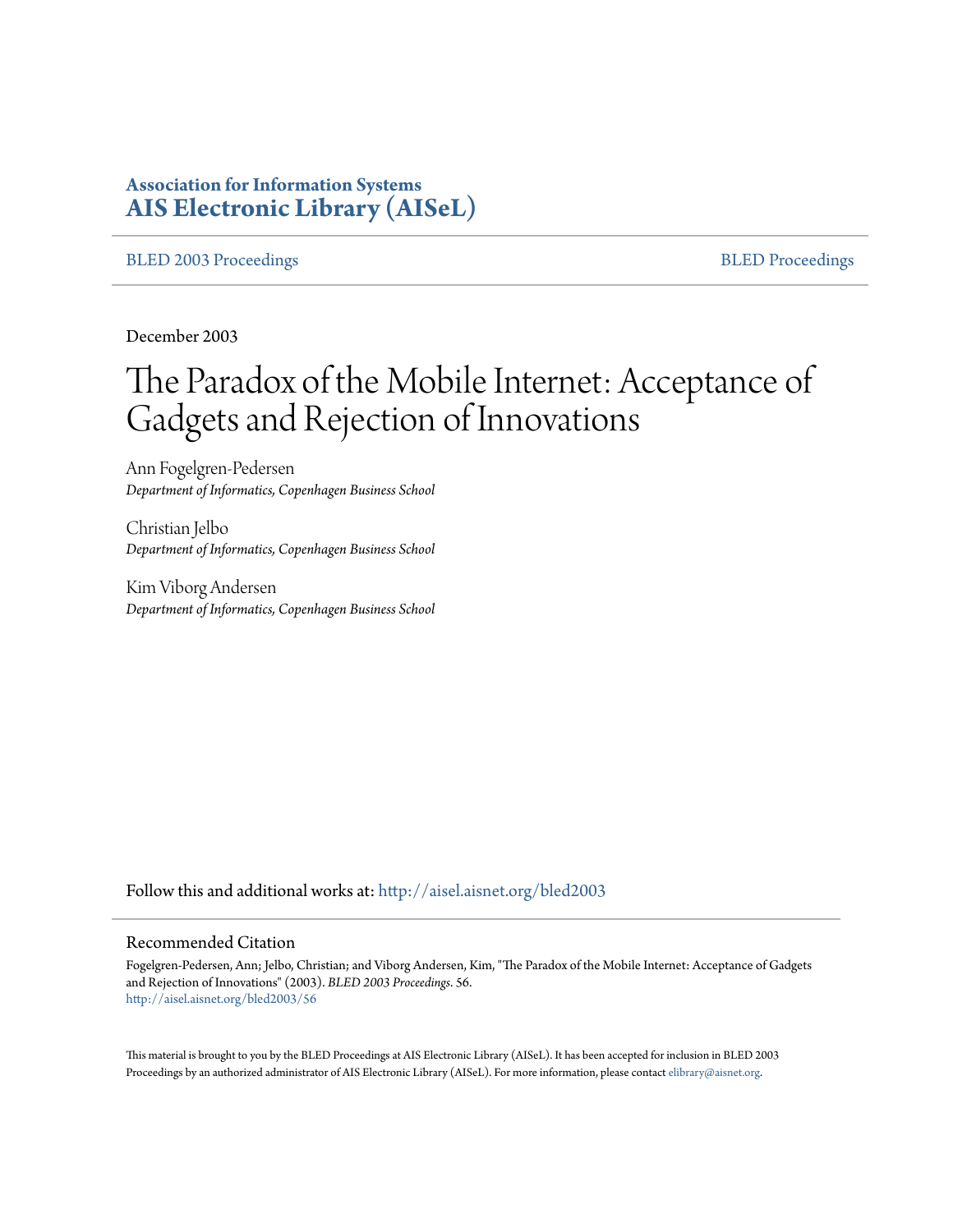# **Association for Information Systems [AIS Electronic Library \(AISeL\)](http://aisel.aisnet.org?utm_source=aisel.aisnet.org%2Fbled2003%2F56&utm_medium=PDF&utm_campaign=PDFCoverPages)**

### [BLED 2003 Proceedings](http://aisel.aisnet.org/bled2003?utm_source=aisel.aisnet.org%2Fbled2003%2F56&utm_medium=PDF&utm_campaign=PDFCoverPages) and the state of the state of the [BLED Proceedings](http://aisel.aisnet.org/bled?utm_source=aisel.aisnet.org%2Fbled2003%2F56&utm_medium=PDF&utm_campaign=PDFCoverPages) and the BLED Proceedings and the BLED Proceedings and the BLED Proceedings and the BLED Proceedings and the BLED Proceedings and the BLED Proceedings

December 2003

# The Paradox of the Mobile Internet: Acceptance of Gadgets and Rejection of Innovations

Ann Fogelgren-Pedersen *Department of Informatics, Copenhagen Business School*

Christian Jelbo *Department of Informatics, Copenhagen Business School*

Kim Viborg Andersen *Department of Informatics, Copenhagen Business School*

Follow this and additional works at: [http://aisel.aisnet.org/bled2003](http://aisel.aisnet.org/bled2003?utm_source=aisel.aisnet.org%2Fbled2003%2F56&utm_medium=PDF&utm_campaign=PDFCoverPages)

#### Recommended Citation

Fogelgren-Pedersen, Ann; Jelbo, Christian; and Viborg Andersen, Kim, "The Paradox of the Mobile Internet: Acceptance of Gadgets and Rejection of Innovations" (2003). *BLED 2003 Proceedings*. 56. [http://aisel.aisnet.org/bled2003/56](http://aisel.aisnet.org/bled2003/56?utm_source=aisel.aisnet.org%2Fbled2003%2F56&utm_medium=PDF&utm_campaign=PDFCoverPages)

This material is brought to you by the BLED Proceedings at AIS Electronic Library (AISeL). It has been accepted for inclusion in BLED 2003 Proceedings by an authorized administrator of AIS Electronic Library (AISeL). For more information, please contact [elibrary@aisnet.org](mailto:elibrary@aisnet.org%3E).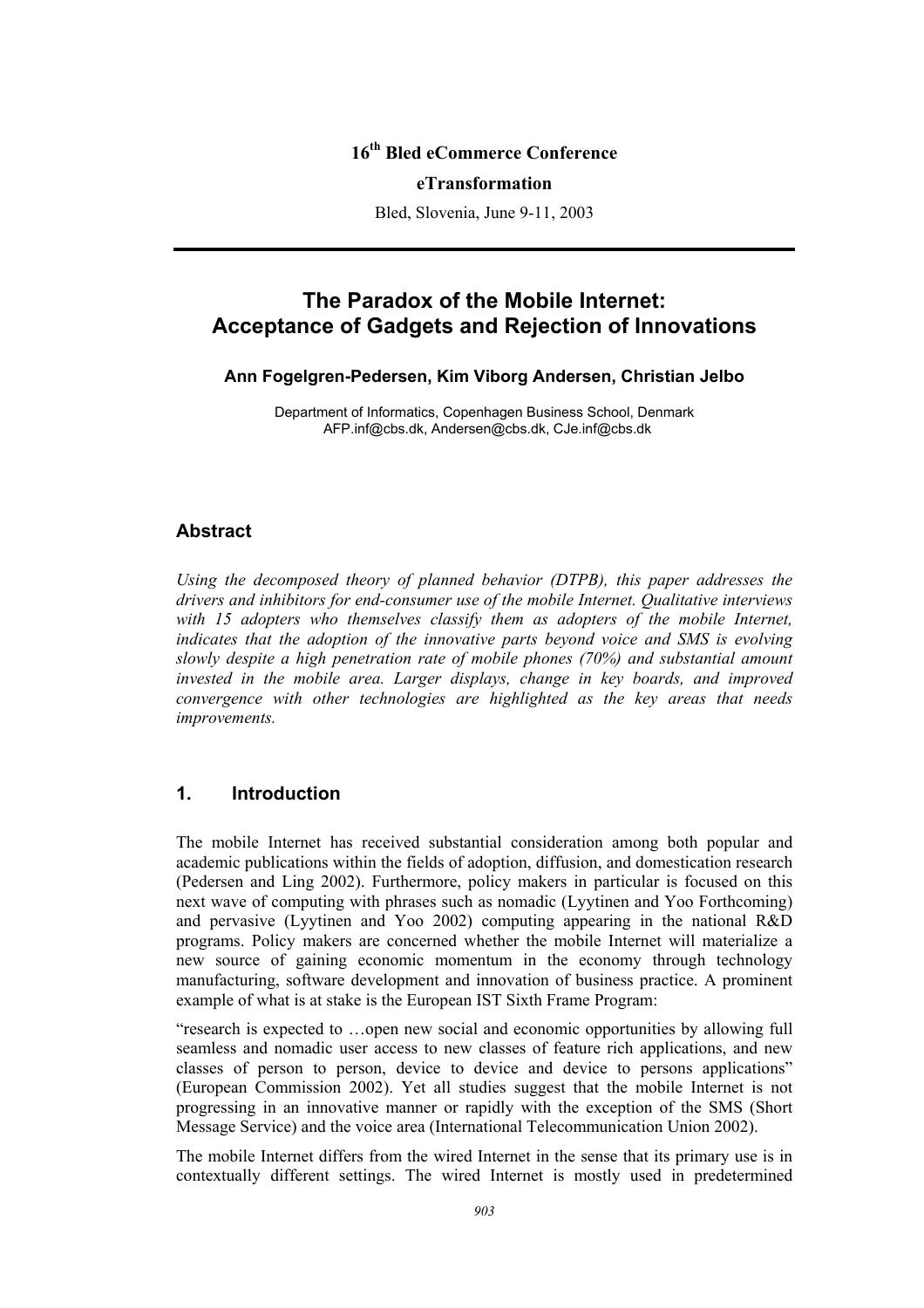## **16th Bled eCommerce Conference**

#### **eTransformation**

Bled, Slovenia, June 9-11, 2003

# **The Paradox of the Mobile Internet: Acceptance of Gadgets and Rejection of Innovations**

#### **Ann Fogelgren-Pedersen, Kim Viborg Andersen, Christian Jelbo**

Department of Informatics, Copenhagen Business School, Denmark AFP.inf@cbs.dk, Andersen@cbs.dk, CJe.inf@cbs.dk

#### **Abstract**

*Using the decomposed theory of planned behavior (DTPB), this paper addresses the drivers and inhibitors for end-consumer use of the mobile Internet. Qualitative interviews*  with 15 adopters who themselves classify them as adopters of the mobile Internet, *indicates that the adoption of the innovative parts beyond voice and SMS is evolving slowly despite a high penetration rate of mobile phones (70%) and substantial amount invested in the mobile area. Larger displays, change in key boards, and improved convergence with other technologies are highlighted as the key areas that needs improvements.* 

## **1. Introduction**

The mobile Internet has received substantial consideration among both popular and academic publications within the fields of adoption, diffusion, and domestication research (Pedersen and Ling 2002). Furthermore, policy makers in particular is focused on this next wave of computing with phrases such as nomadic (Lyytinen and Yoo Forthcoming) and pervasive (Lyytinen and Yoo 2002) computing appearing in the national R&D programs. Policy makers are concerned whether the mobile Internet will materialize a new source of gaining economic momentum in the economy through technology manufacturing, software development and innovation of business practice. A prominent example of what is at stake is the European IST Sixth Frame Program:

"research is expected to …open new social and economic opportunities by allowing full seamless and nomadic user access to new classes of feature rich applications, and new classes of person to person, device to device and device to persons applications" (European Commission 2002). Yet all studies suggest that the mobile Internet is not progressing in an innovative manner or rapidly with the exception of the SMS (Short Message Service) and the voice area (International Telecommunication Union 2002).

The mobile Internet differs from the wired Internet in the sense that its primary use is in contextually different settings. The wired Internet is mostly used in predetermined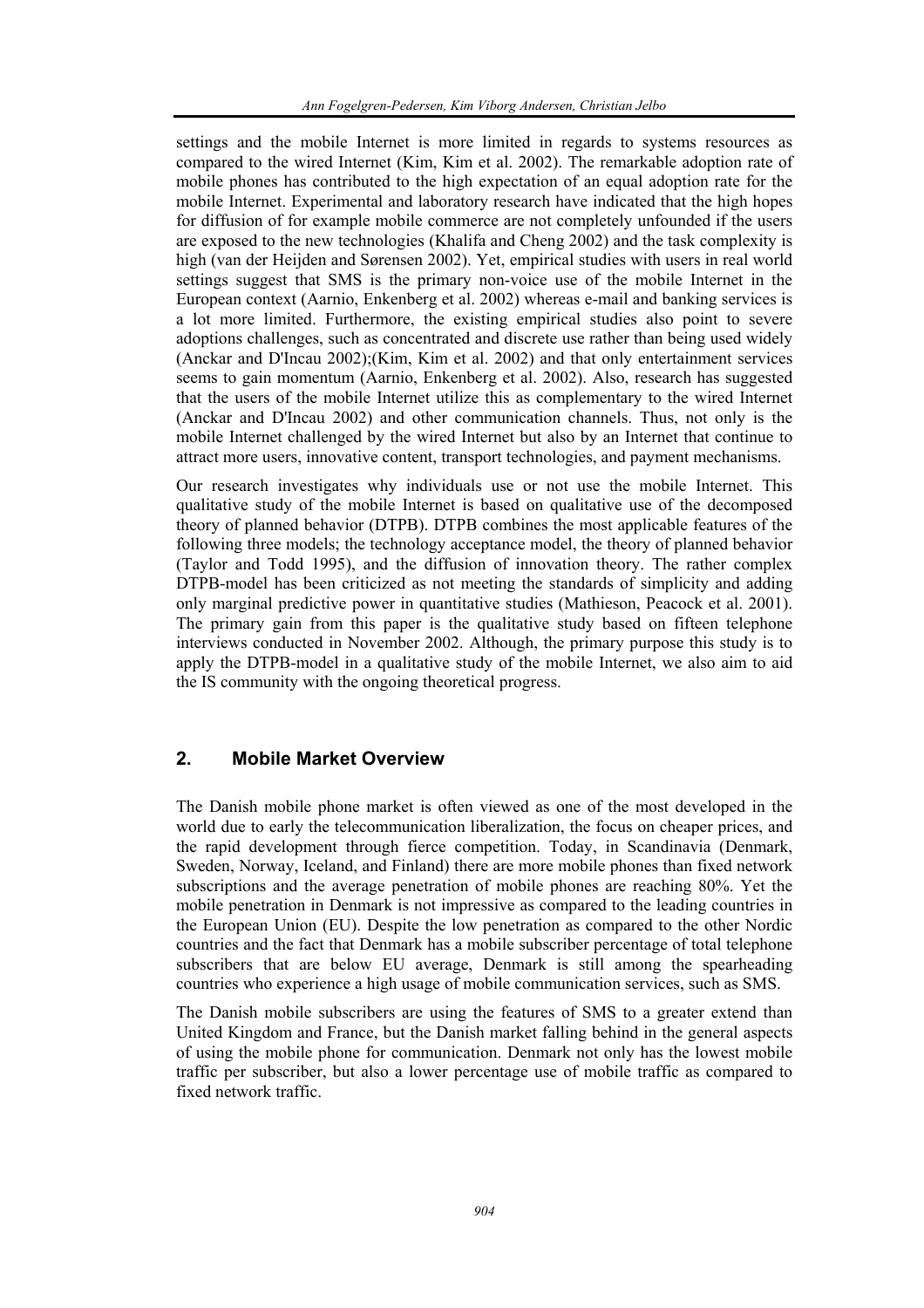settings and the mobile Internet is more limited in regards to systems resources as compared to the wired Internet (Kim, Kim et al. 2002). The remarkable adoption rate of mobile phones has contributed to the high expectation of an equal adoption rate for the mobile Internet. Experimental and laboratory research have indicated that the high hopes for diffusion of for example mobile commerce are not completely unfounded if the users are exposed to the new technologies (Khalifa and Cheng 2002) and the task complexity is high (van der Heijden and Sørensen 2002). Yet, empirical studies with users in real world settings suggest that SMS is the primary non-voice use of the mobile Internet in the European context (Aarnio, Enkenberg et al. 2002) whereas e-mail and banking services is a lot more limited. Furthermore, the existing empirical studies also point to severe adoptions challenges, such as concentrated and discrete use rather than being used widely (Anckar and D'Incau 2002);(Kim, Kim et al. 2002) and that only entertainment services seems to gain momentum (Aarnio, Enkenberg et al. 2002). Also, research has suggested that the users of the mobile Internet utilize this as complementary to the wired Internet (Anckar and D'Incau 2002) and other communication channels. Thus, not only is the mobile Internet challenged by the wired Internet but also by an Internet that continue to attract more users, innovative content, transport technologies, and payment mechanisms.

Our research investigates why individuals use or not use the mobile Internet. This qualitative study of the mobile Internet is based on qualitative use of the decomposed theory of planned behavior (DTPB). DTPB combines the most applicable features of the following three models; the technology acceptance model, the theory of planned behavior (Taylor and Todd 1995), and the diffusion of innovation theory. The rather complex DTPB-model has been criticized as not meeting the standards of simplicity and adding only marginal predictive power in quantitative studies (Mathieson, Peacock et al. 2001). The primary gain from this paper is the qualitative study based on fifteen telephone interviews conducted in November 2002. Although, the primary purpose this study is to apply the DTPB-model in a qualitative study of the mobile Internet, we also aim to aid the IS community with the ongoing theoretical progress.

## **2. Mobile Market Overview**

The Danish mobile phone market is often viewed as one of the most developed in the world due to early the telecommunication liberalization, the focus on cheaper prices, and the rapid development through fierce competition. Today, in Scandinavia (Denmark, Sweden, Norway, Iceland, and Finland) there are more mobile phones than fixed network subscriptions and the average penetration of mobile phones are reaching 80%. Yet the mobile penetration in Denmark is not impressive as compared to the leading countries in the European Union (EU). Despite the low penetration as compared to the other Nordic countries and the fact that Denmark has a mobile subscriber percentage of total telephone subscribers that are below EU average, Denmark is still among the spearheading countries who experience a high usage of mobile communication services, such as SMS.

The Danish mobile subscribers are using the features of SMS to a greater extend than United Kingdom and France, but the Danish market falling behind in the general aspects of using the mobile phone for communication. Denmark not only has the lowest mobile traffic per subscriber, but also a lower percentage use of mobile traffic as compared to fixed network traffic.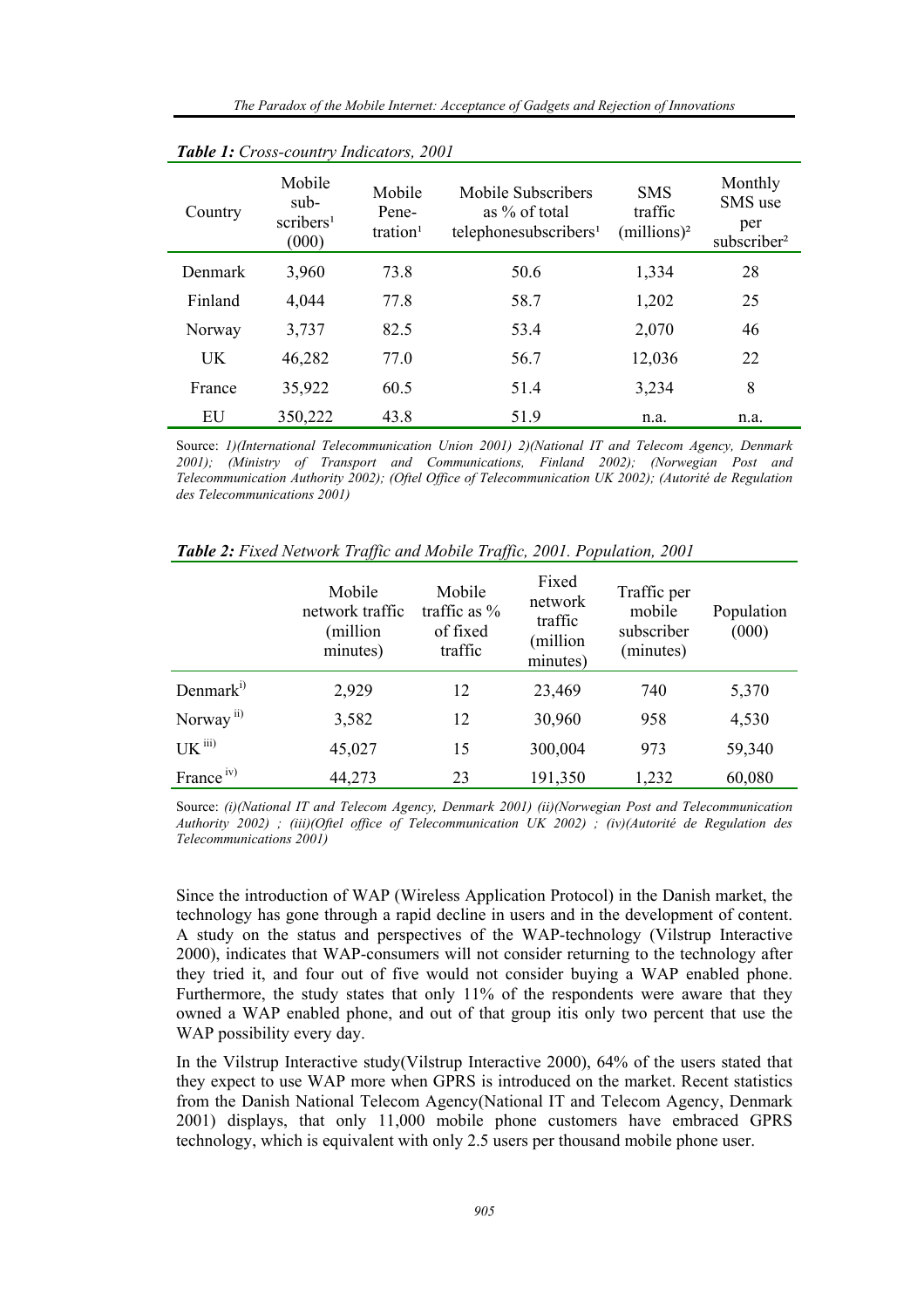| <b>There</b> I. Cross country mateurors, 2001 |                                                  |                                         |                                                                          |                                         |                                                      |
|-----------------------------------------------|--------------------------------------------------|-----------------------------------------|--------------------------------------------------------------------------|-----------------------------------------|------------------------------------------------------|
| Country                                       | Mobile<br>sub-<br>scribers <sup>1</sup><br>(000) | Mobile<br>Pene-<br>tration <sup>1</sup> | Mobile Subscribers<br>as % of total<br>telephonesubscribers <sup>1</sup> | <b>SMS</b><br>traffic<br>$(millions)^2$ | Monthly<br>SMS use<br>per<br>subscriber <sup>2</sup> |
| Denmark                                       | 3,960                                            | 73.8                                    | 50.6                                                                     | 1,334                                   | 28                                                   |
| Finland                                       | 4,044                                            | 77.8                                    | 58.7                                                                     | 1,202                                   | 25                                                   |
| Norway                                        | 3,737                                            | 82.5                                    | 53.4                                                                     | 2,070                                   | 46                                                   |
| UK                                            | 46,282                                           | 77.0                                    | 56.7                                                                     | 12,036                                  | 22                                                   |
| France                                        | 35,922                                           | 60.5                                    | 51.4                                                                     | 3,234                                   | 8                                                    |
| EU                                            | 350,222                                          | 43.8                                    | 51.9                                                                     | n.a.                                    | n.a.                                                 |

*Table 1: Cross-country Indicators, 2001* 

Source: *1)(International Telecommunication Union 2001) 2)(National IT and Telecom Agency, Denmark 2001); (Ministry of Transport and Communications, Finland 2002); (Norwegian Post and Telecommunication Authority 2002); (Oftel Office of Telecommunication UK 2002); (Autorité de Regulation des Telecommunications 2001)* 

|                       | Mobile<br>network traffic<br>(million<br>minutes) | Mobile<br>traffic as $%$<br>of fixed<br>traffic | Fixed<br>network<br>traffic<br>(million<br>minutes) | Traffic per<br>mobile<br>subscriber<br>(minutes) | Population<br>(000) |
|-----------------------|---------------------------------------------------|-------------------------------------------------|-----------------------------------------------------|--------------------------------------------------|---------------------|
| Denmark <sup>i)</sup> | 2,929                                             | 12                                              | 23,469                                              | 740                                              | 5,370               |
| Norway <sup>ii)</sup> | 3,582                                             | 12                                              | 30,960                                              | 958                                              | 4,530               |
| $UK$ $iii)$           | 45,027                                            | 15                                              | 300,004                                             | 973                                              | 59,340              |
| France <sup>iv)</sup> | 44,273                                            | 23                                              | 191,350                                             | 1,232                                            | 60,080              |

*Table 2: Fixed Network Traffic and Mobile Traffic, 2001. Population, 2001* 

Source: *(i)(National IT and Telecom Agency, Denmark 2001) (ii)(Norwegian Post and Telecommunication Authority 2002) ; (iii)(Oftel office of Telecommunication UK 2002) ; (iv)(Autorité de Regulation des Telecommunications 2001)* 

Since the introduction of WAP (Wireless Application Protocol) in the Danish market, the technology has gone through a rapid decline in users and in the development of content. A study on the status and perspectives of the WAP-technology (Vilstrup Interactive 2000), indicates that WAP-consumers will not consider returning to the technology after they tried it, and four out of five would not consider buying a WAP enabled phone. Furthermore, the study states that only 11% of the respondents were aware that they owned a WAP enabled phone, and out of that group itis only two percent that use the WAP possibility every day.

In the Vilstrup Interactive study(Vilstrup Interactive 2000), 64% of the users stated that they expect to use WAP more when GPRS is introduced on the market. Recent statistics from the Danish National Telecom Agency(National IT and Telecom Agency, Denmark 2001) displays, that only 11,000 mobile phone customers have embraced GPRS technology, which is equivalent with only 2.5 users per thousand mobile phone user.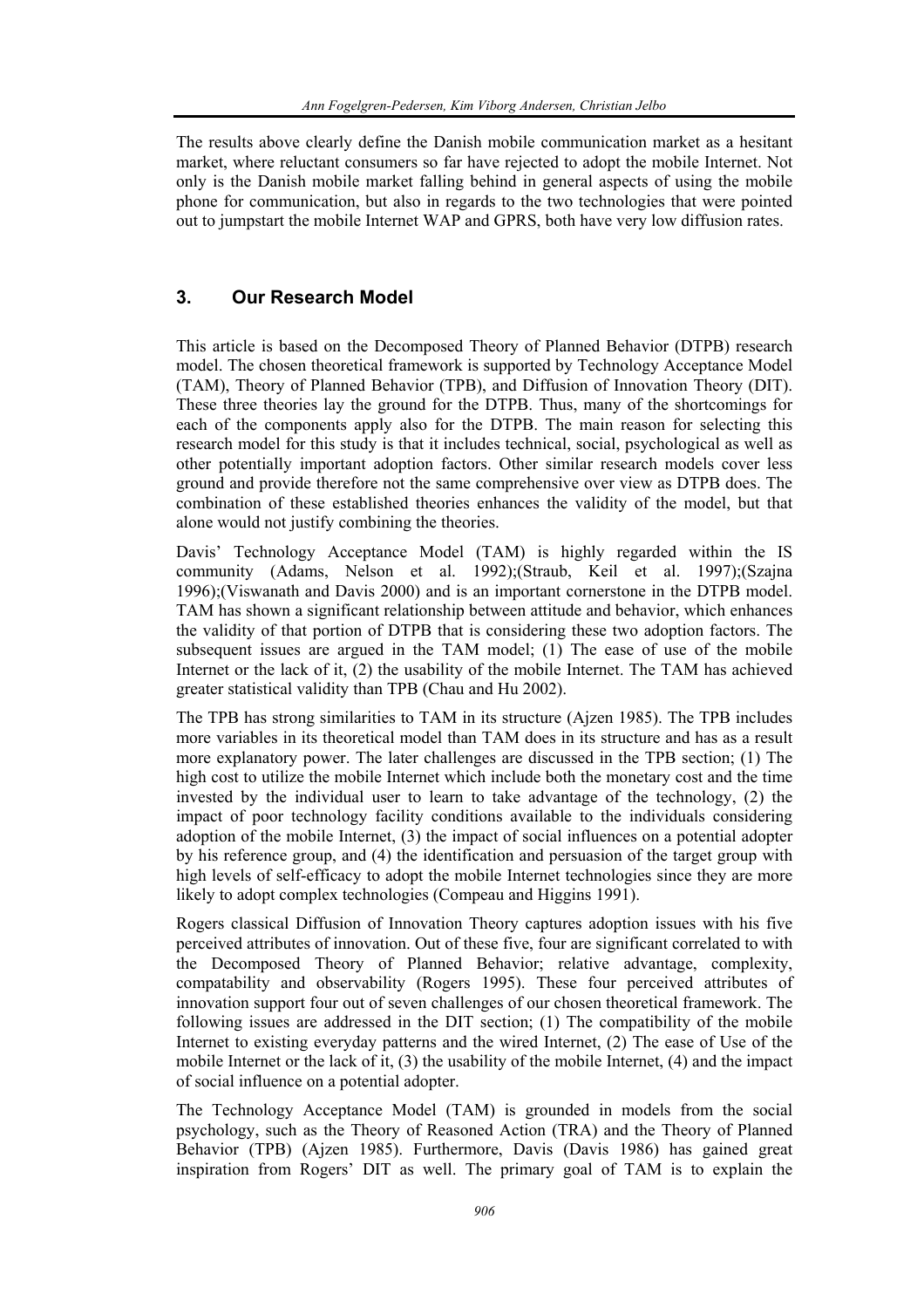The results above clearly define the Danish mobile communication market as a hesitant market, where reluctant consumers so far have rejected to adopt the mobile Internet. Not only is the Danish mobile market falling behind in general aspects of using the mobile phone for communication, but also in regards to the two technologies that were pointed out to jumpstart the mobile Internet WAP and GPRS, both have very low diffusion rates.

## **3. Our Research Model**

This article is based on the Decomposed Theory of Planned Behavior (DTPB) research model. The chosen theoretical framework is supported by Technology Acceptance Model (TAM), Theory of Planned Behavior (TPB), and Diffusion of Innovation Theory (DIT). These three theories lay the ground for the DTPB. Thus, many of the shortcomings for each of the components apply also for the DTPB. The main reason for selecting this research model for this study is that it includes technical, social, psychological as well as other potentially important adoption factors. Other similar research models cover less ground and provide therefore not the same comprehensive over view as DTPB does. The combination of these established theories enhances the validity of the model, but that alone would not justify combining the theories.

Davis' Technology Acceptance Model (TAM) is highly regarded within the IS community (Adams, Nelson et al. 1992);(Straub, Keil et al. 1997);(Szajna 1996);(Viswanath and Davis 2000) and is an important cornerstone in the DTPB model. TAM has shown a significant relationship between attitude and behavior, which enhances the validity of that portion of DTPB that is considering these two adoption factors. The subsequent issues are argued in the TAM model; (1) The ease of use of the mobile Internet or the lack of it, (2) the usability of the mobile Internet. The TAM has achieved greater statistical validity than TPB (Chau and Hu 2002).

The TPB has strong similarities to TAM in its structure (Ajzen 1985). The TPB includes more variables in its theoretical model than TAM does in its structure and has as a result more explanatory power. The later challenges are discussed in the TPB section; (1) The high cost to utilize the mobile Internet which include both the monetary cost and the time invested by the individual user to learn to take advantage of the technology, (2) the impact of poor technology facility conditions available to the individuals considering adoption of the mobile Internet, (3) the impact of social influences on a potential adopter by his reference group, and (4) the identification and persuasion of the target group with high levels of self-efficacy to adopt the mobile Internet technologies since they are more likely to adopt complex technologies (Compeau and Higgins 1991).

Rogers classical Diffusion of Innovation Theory captures adoption issues with his five perceived attributes of innovation. Out of these five, four are significant correlated to with the Decomposed Theory of Planned Behavior; relative advantage, complexity, compatability and observability (Rogers 1995). These four perceived attributes of innovation support four out of seven challenges of our chosen theoretical framework. The following issues are addressed in the DIT section; (1) The compatibility of the mobile Internet to existing everyday patterns and the wired Internet, (2) The ease of Use of the mobile Internet or the lack of it, (3) the usability of the mobile Internet, (4) and the impact of social influence on a potential adopter.

The Technology Acceptance Model (TAM) is grounded in models from the social psychology, such as the Theory of Reasoned Action (TRA) and the Theory of Planned Behavior (TPB) (Ajzen 1985). Furthermore, Davis (Davis 1986) has gained great inspiration from Rogers' DIT as well. The primary goal of TAM is to explain the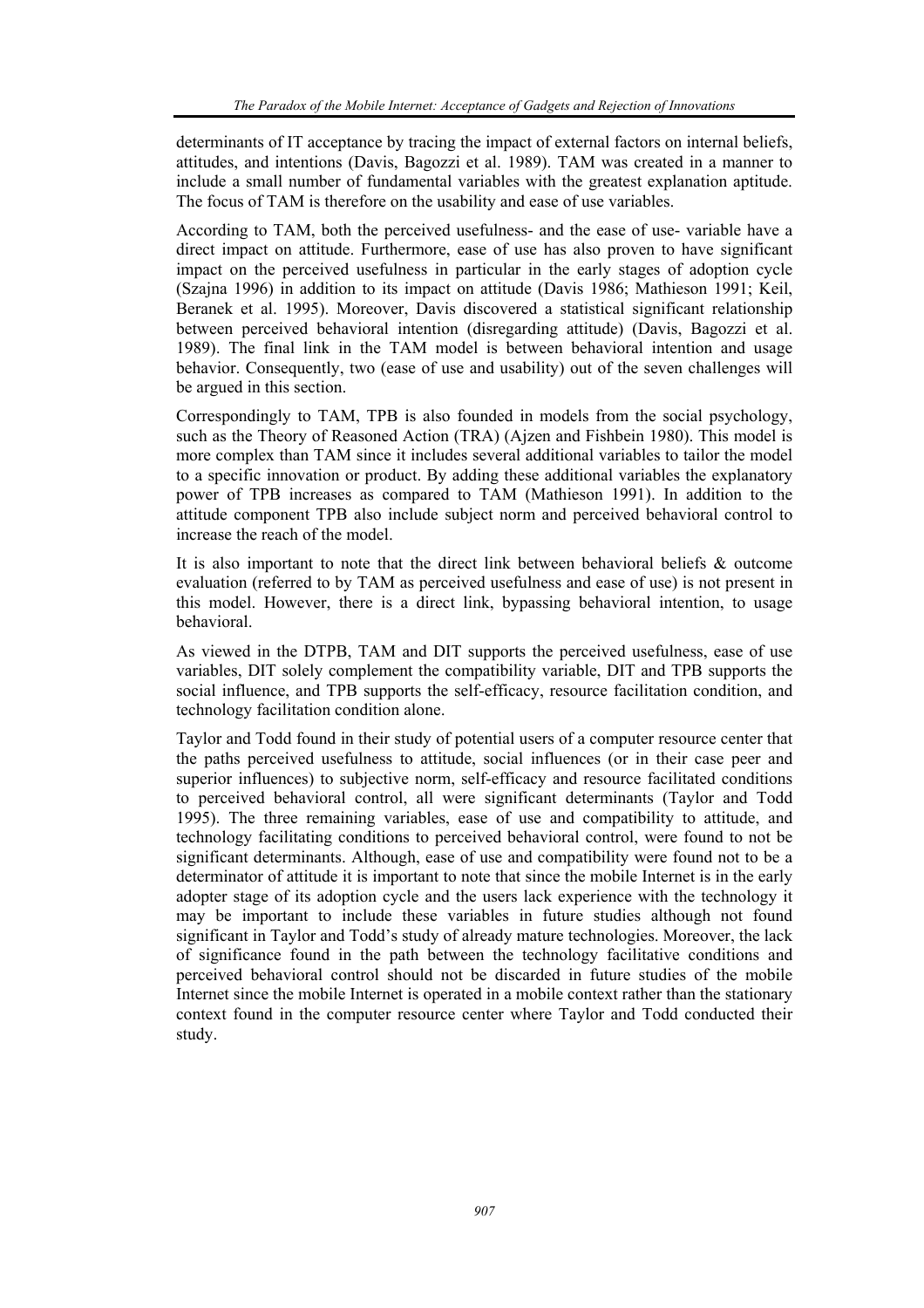determinants of IT acceptance by tracing the impact of external factors on internal beliefs, attitudes, and intentions (Davis, Bagozzi et al. 1989). TAM was created in a manner to include a small number of fundamental variables with the greatest explanation aptitude. The focus of TAM is therefore on the usability and ease of use variables.

According to TAM, both the perceived usefulness- and the ease of use- variable have a direct impact on attitude. Furthermore, ease of use has also proven to have significant impact on the perceived usefulness in particular in the early stages of adoption cycle (Szajna 1996) in addition to its impact on attitude (Davis 1986; Mathieson 1991; Keil, Beranek et al. 1995). Moreover, Davis discovered a statistical significant relationship between perceived behavioral intention (disregarding attitude) (Davis, Bagozzi et al. 1989). The final link in the TAM model is between behavioral intention and usage behavior. Consequently, two (ease of use and usability) out of the seven challenges will be argued in this section.

Correspondingly to TAM, TPB is also founded in models from the social psychology, such as the Theory of Reasoned Action (TRA) (Ajzen and Fishbein 1980). This model is more complex than TAM since it includes several additional variables to tailor the model to a specific innovation or product. By adding these additional variables the explanatory power of TPB increases as compared to TAM (Mathieson 1991). In addition to the attitude component TPB also include subject norm and perceived behavioral control to increase the reach of the model.

It is also important to note that the direct link between behavioral beliefs & outcome evaluation (referred to by TAM as perceived usefulness and ease of use) is not present in this model. However, there is a direct link, bypassing behavioral intention, to usage behavioral.

As viewed in the DTPB, TAM and DIT supports the perceived usefulness, ease of use variables, DIT solely complement the compatibility variable, DIT and TPB supports the social influence, and TPB supports the self-efficacy, resource facilitation condition, and technology facilitation condition alone.

Taylor and Todd found in their study of potential users of a computer resource center that the paths perceived usefulness to attitude, social influences (or in their case peer and superior influences) to subjective norm, self-efficacy and resource facilitated conditions to perceived behavioral control, all were significant determinants (Taylor and Todd 1995). The three remaining variables, ease of use and compatibility to attitude, and technology facilitating conditions to perceived behavioral control, were found to not be significant determinants. Although, ease of use and compatibility were found not to be a determinator of attitude it is important to note that since the mobile Internet is in the early adopter stage of its adoption cycle and the users lack experience with the technology it may be important to include these variables in future studies although not found significant in Taylor and Todd's study of already mature technologies. Moreover, the lack of significance found in the path between the technology facilitative conditions and perceived behavioral control should not be discarded in future studies of the mobile Internet since the mobile Internet is operated in a mobile context rather than the stationary context found in the computer resource center where Taylor and Todd conducted their study.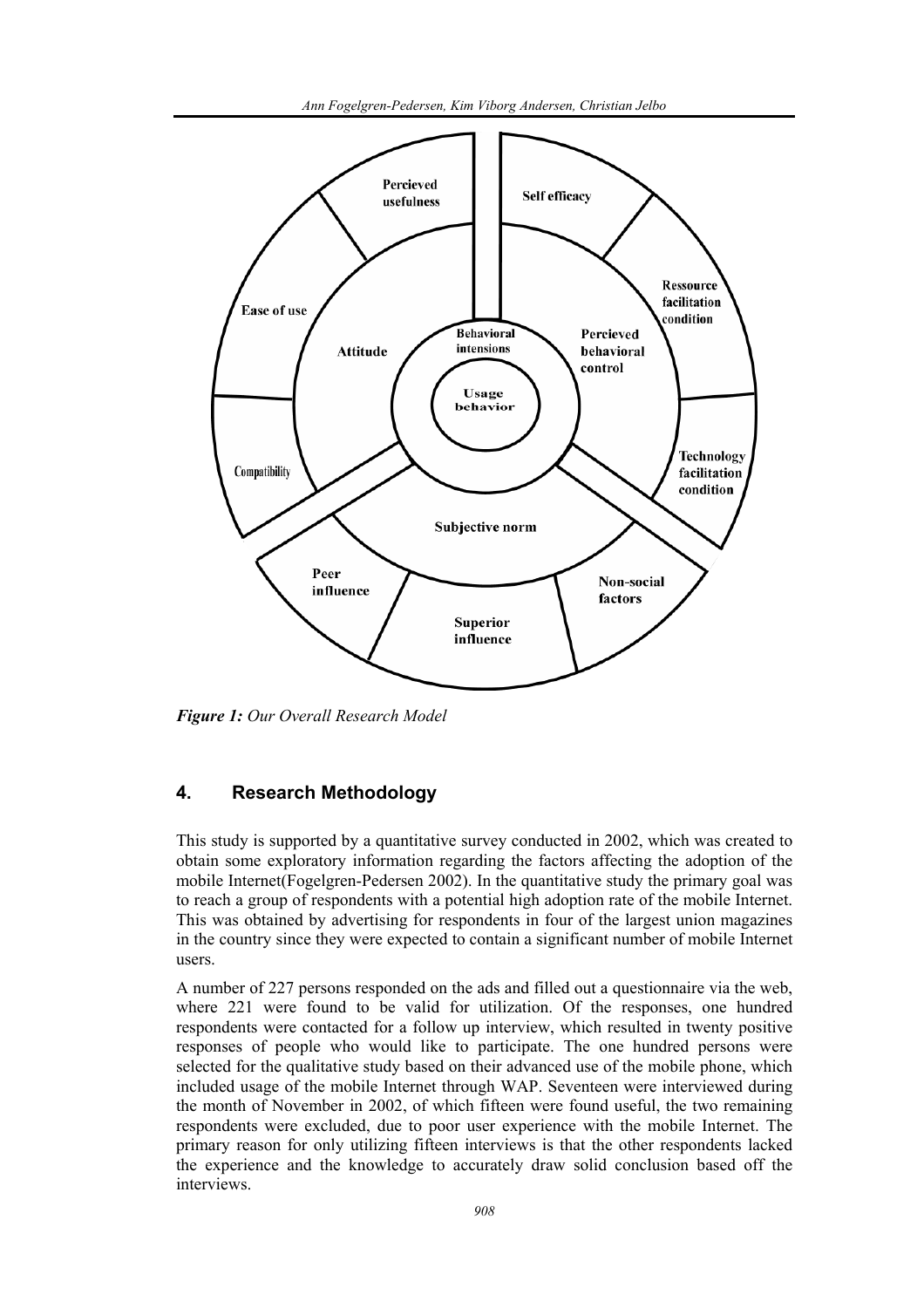

*Figure 1: Our Overall Research Model* 

## **4. Research Methodology**

This study is supported by a quantitative survey conducted in 2002, which was created to obtain some exploratory information regarding the factors affecting the adoption of the mobile Internet(Fogelgren-Pedersen 2002). In the quantitative study the primary goal was to reach a group of respondents with a potential high adoption rate of the mobile Internet. This was obtained by advertising for respondents in four of the largest union magazines in the country since they were expected to contain a significant number of mobile Internet users.

A number of 227 persons responded on the ads and filled out a questionnaire via the web, where 221 were found to be valid for utilization. Of the responses, one hundred respondents were contacted for a follow up interview, which resulted in twenty positive responses of people who would like to participate. The one hundred persons were selected for the qualitative study based on their advanced use of the mobile phone, which included usage of the mobile Internet through WAP. Seventeen were interviewed during the month of November in 2002, of which fifteen were found useful, the two remaining respondents were excluded, due to poor user experience with the mobile Internet. The primary reason for only utilizing fifteen interviews is that the other respondents lacked the experience and the knowledge to accurately draw solid conclusion based off the interviews.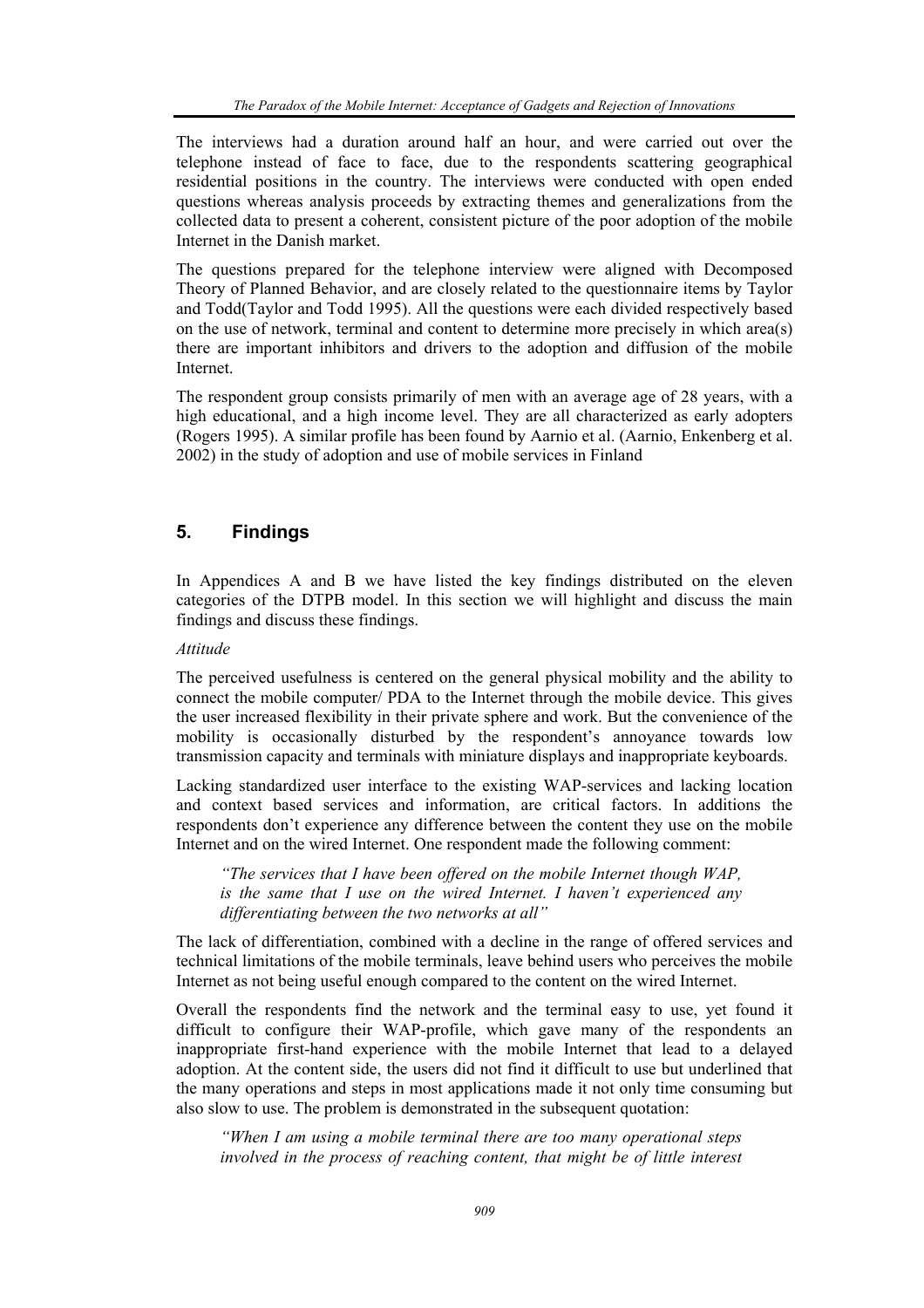The interviews had a duration around half an hour, and were carried out over the telephone instead of face to face, due to the respondents scattering geographical residential positions in the country. The interviews were conducted with open ended questions whereas analysis proceeds by extracting themes and generalizations from the collected data to present a coherent, consistent picture of the poor adoption of the mobile Internet in the Danish market.

The questions prepared for the telephone interview were aligned with Decomposed Theory of Planned Behavior, and are closely related to the questionnaire items by Taylor and Todd(Taylor and Todd 1995). All the questions were each divided respectively based on the use of network, terminal and content to determine more precisely in which area(s) there are important inhibitors and drivers to the adoption and diffusion of the mobile Internet.

The respondent group consists primarily of men with an average age of 28 years, with a high educational, and a high income level. They are all characterized as early adopters (Rogers 1995). A similar profile has been found by Aarnio et al. (Aarnio, Enkenberg et al. 2002) in the study of adoption and use of mobile services in Finland

## **5. Findings**

In Appendices A and B we have listed the key findings distributed on the eleven categories of the DTPB model. In this section we will highlight and discuss the main findings and discuss these findings.

### *Attitude*

The perceived usefulness is centered on the general physical mobility and the ability to connect the mobile computer/ PDA to the Internet through the mobile device. This gives the user increased flexibility in their private sphere and work. But the convenience of the mobility is occasionally disturbed by the respondent's annoyance towards low transmission capacity and terminals with miniature displays and inappropriate keyboards.

Lacking standardized user interface to the existing WAP-services and lacking location and context based services and information, are critical factors. In additions the respondents don't experience any difference between the content they use on the mobile Internet and on the wired Internet. One respondent made the following comment:

*"The services that I have been offered on the mobile Internet though WAP, is the same that I use on the wired Internet. I haven't experienced any differentiating between the two networks at all"* 

The lack of differentiation, combined with a decline in the range of offered services and technical limitations of the mobile terminals, leave behind users who perceives the mobile Internet as not being useful enough compared to the content on the wired Internet.

Overall the respondents find the network and the terminal easy to use, yet found it difficult to configure their WAP-profile, which gave many of the respondents an inappropriate first-hand experience with the mobile Internet that lead to a delayed adoption. At the content side, the users did not find it difficult to use but underlined that the many operations and steps in most applications made it not only time consuming but also slow to use. The problem is demonstrated in the subsequent quotation:

*"When I am using a mobile terminal there are too many operational steps involved in the process of reaching content, that might be of little interest*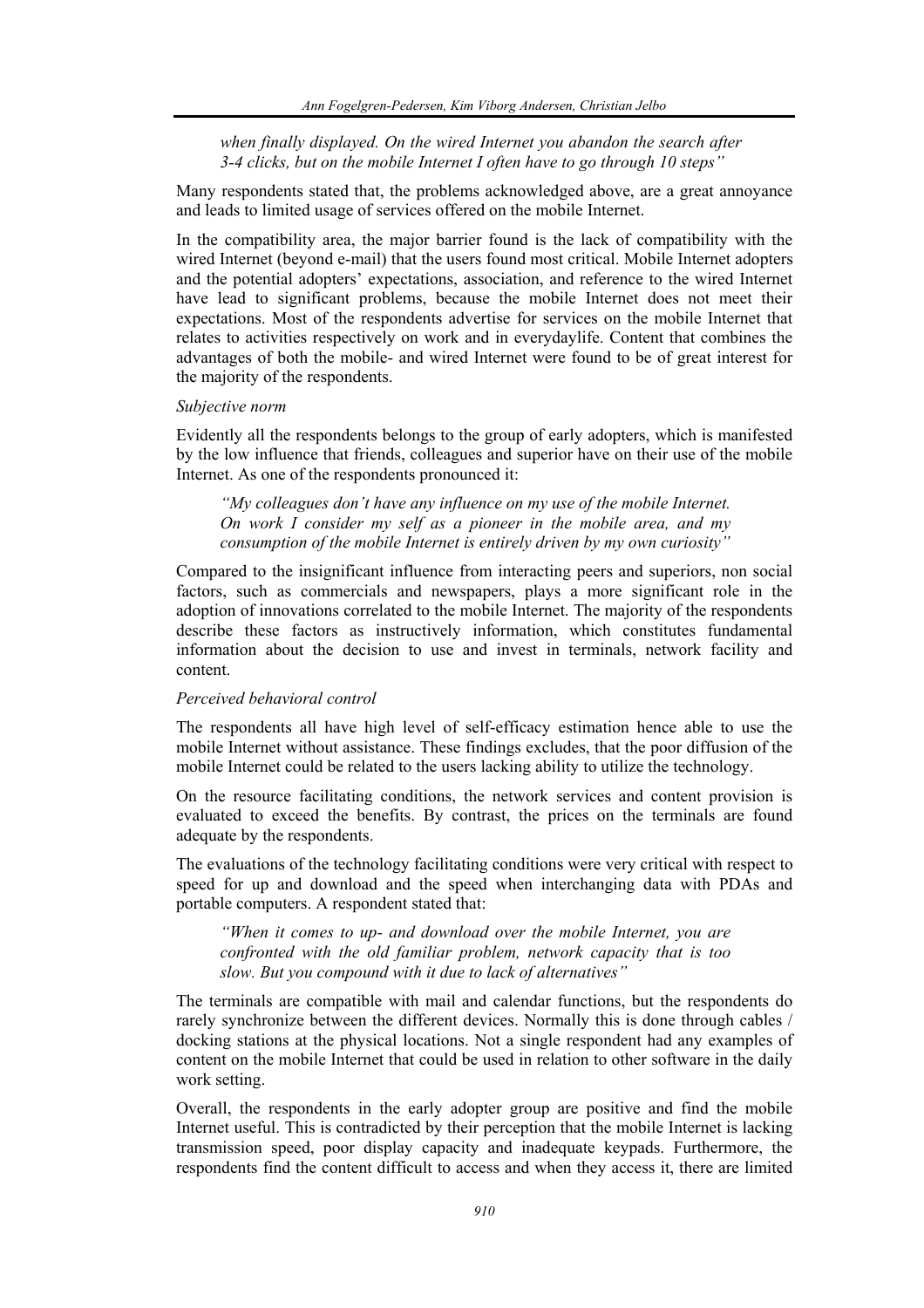*when finally displayed. On the wired Internet you abandon the search after 3-4 clicks, but on the mobile Internet I often have to go through 10 steps"* 

Many respondents stated that, the problems acknowledged above, are a great annoyance and leads to limited usage of services offered on the mobile Internet.

In the compatibility area, the major barrier found is the lack of compatibility with the wired Internet (beyond e-mail) that the users found most critical. Mobile Internet adopters and the potential adopters' expectations, association, and reference to the wired Internet have lead to significant problems, because the mobile Internet does not meet their expectations. Most of the respondents advertise for services on the mobile Internet that relates to activities respectively on work and in everydaylife. Content that combines the advantages of both the mobile- and wired Internet were found to be of great interest for the majority of the respondents.

#### *Subjective norm*

Evidently all the respondents belongs to the group of early adopters, which is manifested by the low influence that friends, colleagues and superior have on their use of the mobile Internet. As one of the respondents pronounced it:

*"My colleagues don't have any influence on my use of the mobile Internet. On work I consider my self as a pioneer in the mobile area, and my consumption of the mobile Internet is entirely driven by my own curiosity"* 

Compared to the insignificant influence from interacting peers and superiors, non social factors, such as commercials and newspapers, plays a more significant role in the adoption of innovations correlated to the mobile Internet. The majority of the respondents describe these factors as instructively information, which constitutes fundamental information about the decision to use and invest in terminals, network facility and content.

#### *Perceived behavioral control*

The respondents all have high level of self-efficacy estimation hence able to use the mobile Internet without assistance. These findings excludes, that the poor diffusion of the mobile Internet could be related to the users lacking ability to utilize the technology.

On the resource facilitating conditions, the network services and content provision is evaluated to exceed the benefits. By contrast, the prices on the terminals are found adequate by the respondents.

The evaluations of the technology facilitating conditions were very critical with respect to speed for up and download and the speed when interchanging data with PDAs and portable computers. A respondent stated that:

*"When it comes to up- and download over the mobile Internet, you are confronted with the old familiar problem, network capacity that is too slow. But you compound with it due to lack of alternatives"* 

The terminals are compatible with mail and calendar functions, but the respondents do rarely synchronize between the different devices. Normally this is done through cables / docking stations at the physical locations. Not a single respondent had any examples of content on the mobile Internet that could be used in relation to other software in the daily work setting.

Overall, the respondents in the early adopter group are positive and find the mobile Internet useful. This is contradicted by their perception that the mobile Internet is lacking transmission speed, poor display capacity and inadequate keypads. Furthermore, the respondents find the content difficult to access and when they access it, there are limited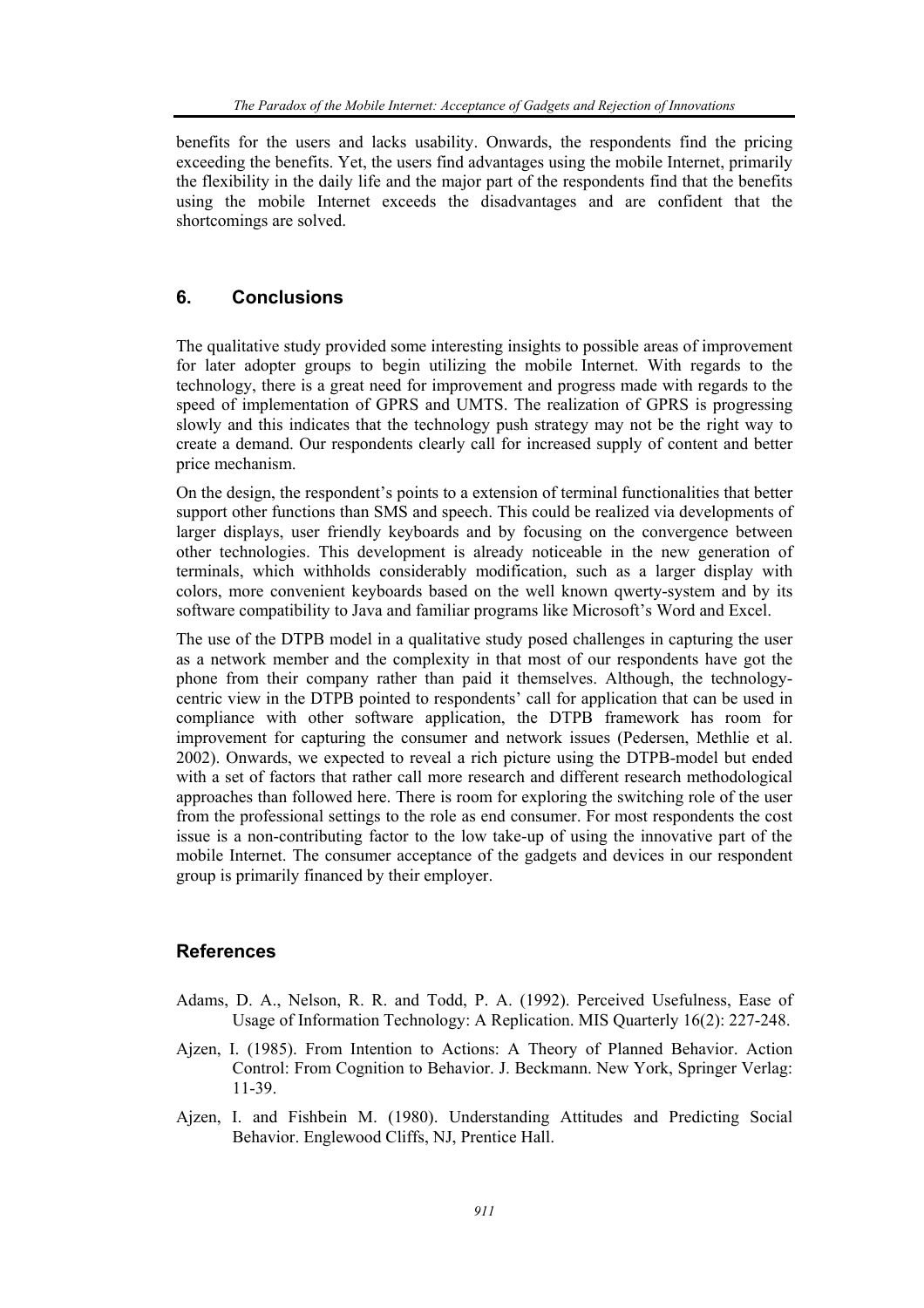benefits for the users and lacks usability. Onwards, the respondents find the pricing exceeding the benefits. Yet, the users find advantages using the mobile Internet, primarily the flexibility in the daily life and the major part of the respondents find that the benefits using the mobile Internet exceeds the disadvantages and are confident that the shortcomings are solved.

## **6. Conclusions**

The qualitative study provided some interesting insights to possible areas of improvement for later adopter groups to begin utilizing the mobile Internet. With regards to the technology, there is a great need for improvement and progress made with regards to the speed of implementation of GPRS and UMTS. The realization of GPRS is progressing slowly and this indicates that the technology push strategy may not be the right way to create a demand. Our respondents clearly call for increased supply of content and better price mechanism.

On the design, the respondent's points to a extension of terminal functionalities that better support other functions than SMS and speech. This could be realized via developments of larger displays, user friendly keyboards and by focusing on the convergence between other technologies. This development is already noticeable in the new generation of terminals, which withholds considerably modification, such as a larger display with colors, more convenient keyboards based on the well known qwerty-system and by its software compatibility to Java and familiar programs like Microsoft's Word and Excel.

The use of the DTPB model in a qualitative study posed challenges in capturing the user as a network member and the complexity in that most of our respondents have got the phone from their company rather than paid it themselves. Although, the technologycentric view in the DTPB pointed to respondents' call for application that can be used in compliance with other software application, the DTPB framework has room for improvement for capturing the consumer and network issues (Pedersen, Methlie et al. 2002). Onwards, we expected to reveal a rich picture using the DTPB-model but ended with a set of factors that rather call more research and different research methodological approaches than followed here. There is room for exploring the switching role of the user from the professional settings to the role as end consumer. For most respondents the cost issue is a non-contributing factor to the low take-up of using the innovative part of the mobile Internet. The consumer acceptance of the gadgets and devices in our respondent group is primarily financed by their employer.

## **References**

- Adams, D. A., Nelson, R. R. and Todd, P. A. (1992). Perceived Usefulness, Ease of Usage of Information Technology: A Replication. MIS Quarterly 16(2): 227-248.
- Ajzen, I. (1985). From Intention to Actions: A Theory of Planned Behavior. Action Control: From Cognition to Behavior. J. Beckmann. New York, Springer Verlag: 11-39.
- Ajzen, I. and Fishbein M. (1980). Understanding Attitudes and Predicting Social Behavior. Englewood Cliffs, NJ, Prentice Hall.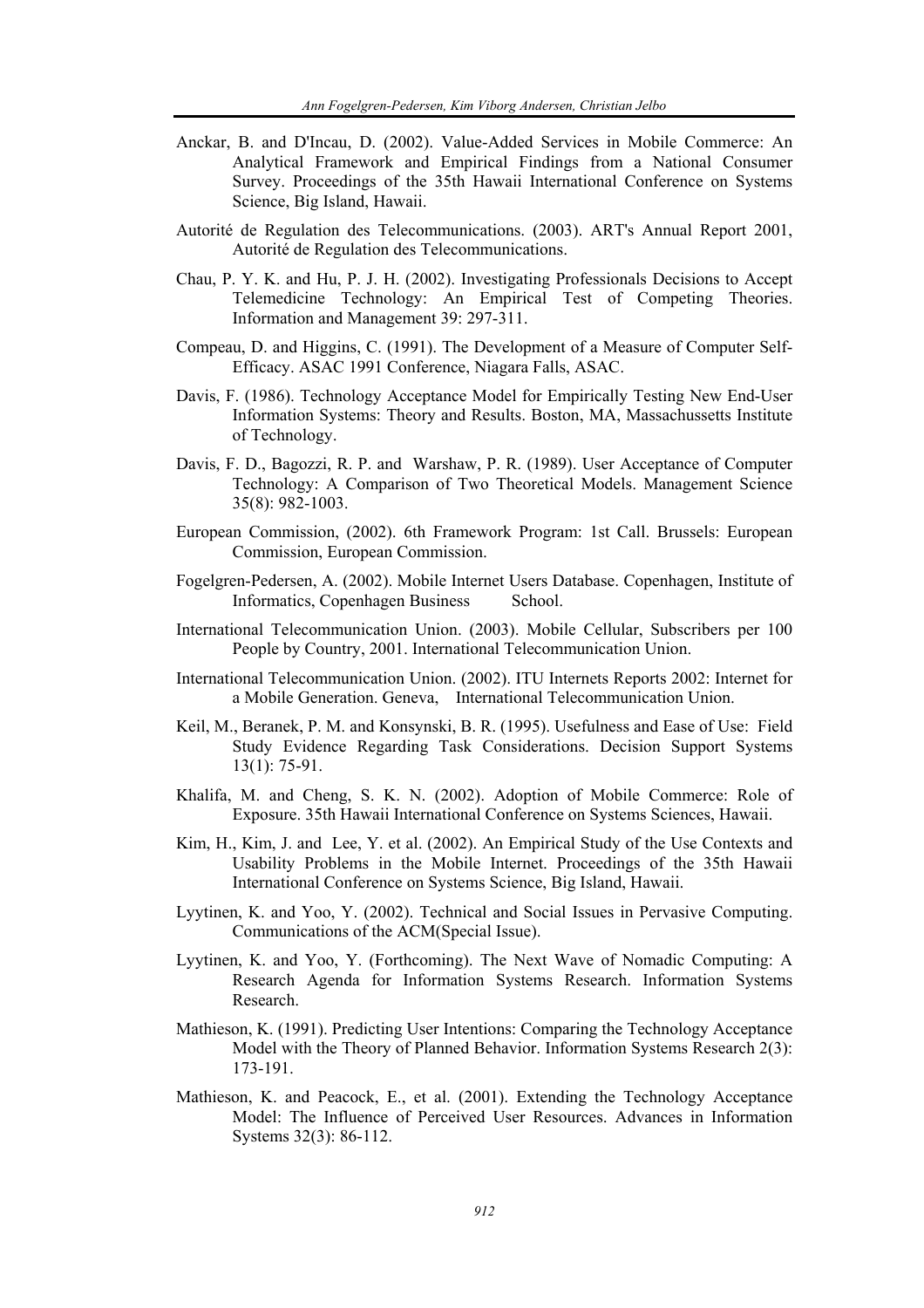- Anckar, B. and D'Incau, D. (2002). Value-Added Services in Mobile Commerce: An Analytical Framework and Empirical Findings from a National Consumer Survey. Proceedings of the 35th Hawaii International Conference on Systems Science, Big Island, Hawaii.
- Autorité de Regulation des Telecommunications. (2003). ART's Annual Report 2001, Autorité de Regulation des Telecommunications.
- Chau, P. Y. K. and Hu, P. J. H. (2002). Investigating Professionals Decisions to Accept Telemedicine Technology: An Empirical Test of Competing Theories. Information and Management 39: 297-311.
- Compeau, D. and Higgins, C. (1991). The Development of a Measure of Computer Self-Efficacy. ASAC 1991 Conference, Niagara Falls, ASAC.
- Davis, F. (1986). Technology Acceptance Model for Empirically Testing New End-User Information Systems: Theory and Results. Boston, MA, Massachussetts Institute of Technology.
- Davis, F. D., Bagozzi, R. P. and Warshaw, P. R. (1989). User Acceptance of Computer Technology: A Comparison of Two Theoretical Models. Management Science 35(8): 982-1003.
- European Commission, (2002). 6th Framework Program: 1st Call. Brussels: European Commission, European Commission.
- Fogelgren-Pedersen, A. (2002). Mobile Internet Users Database. Copenhagen, Institute of Informatics, Copenhagen Business School.
- International Telecommunication Union. (2003). Mobile Cellular, Subscribers per 100 People by Country, 2001. International Telecommunication Union.
- International Telecommunication Union. (2002). ITU Internets Reports 2002: Internet for a Mobile Generation. Geneva, International Telecommunication Union.
- Keil, M., Beranek, P. M. and Konsynski, B. R. (1995). Usefulness and Ease of Use: Field Study Evidence Regarding Task Considerations. Decision Support Systems 13(1): 75-91.
- Khalifa, M. and Cheng, S. K. N. (2002). Adoption of Mobile Commerce: Role of Exposure. 35th Hawaii International Conference on Systems Sciences, Hawaii.
- Kim, H., Kim, J. and Lee, Y. et al. (2002). An Empirical Study of the Use Contexts and Usability Problems in the Mobile Internet. Proceedings of the 35th Hawaii International Conference on Systems Science, Big Island, Hawaii.
- Lyytinen, K. and Yoo, Y. (2002). Technical and Social Issues in Pervasive Computing. Communications of the ACM(Special Issue).
- Lyytinen, K. and Yoo, Y. (Forthcoming). The Next Wave of Nomadic Computing: A Research Agenda for Information Systems Research. Information Systems Research.
- Mathieson, K. (1991). Predicting User Intentions: Comparing the Technology Acceptance Model with the Theory of Planned Behavior. Information Systems Research 2(3): 173-191.
- Mathieson, K. and Peacock, E., et al. (2001). Extending the Technology Acceptance Model: The Influence of Perceived User Resources. Advances in Information Systems 32(3): 86-112.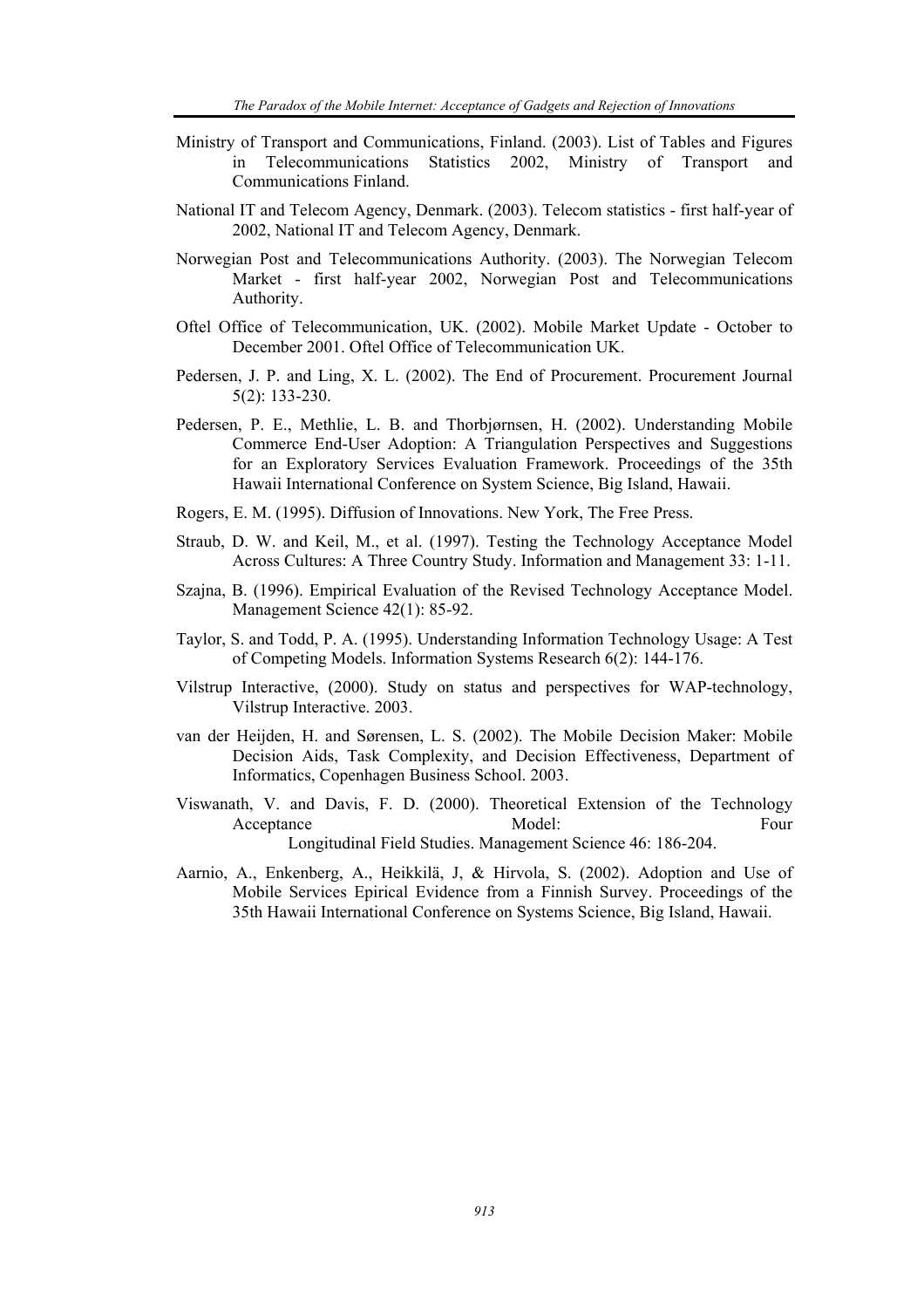- Ministry of Transport and Communications, Finland. (2003). List of Tables and Figures in Telecommunications Statistics 2002, Ministry of Transport and Communications Finland.
- National IT and Telecom Agency, Denmark. (2003). Telecom statistics first half-year of 2002, National IT and Telecom Agency, Denmark.
- Norwegian Post and Telecommunications Authority. (2003). The Norwegian Telecom Market - first half-year 2002, Norwegian Post and Telecommunications Authority.
- Oftel Office of Telecommunication, UK. (2002). Mobile Market Update October to December 2001. Oftel Office of Telecommunication UK.
- Pedersen, J. P. and Ling, X. L. (2002). The End of Procurement. Procurement Journal 5(2): 133-230.
- Pedersen, P. E., Methlie, L. B. and Thorbjørnsen, H. (2002). Understanding Mobile Commerce End-User Adoption: A Triangulation Perspectives and Suggestions for an Exploratory Services Evaluation Framework. Proceedings of the 35th Hawaii International Conference on System Science, Big Island, Hawaii.
- Rogers, E. M. (1995). Diffusion of Innovations. New York, The Free Press.
- Straub, D. W. and Keil, M., et al. (1997). Testing the Technology Acceptance Model Across Cultures: A Three Country Study. Information and Management 33: 1-11.
- Szajna, B. (1996). Empirical Evaluation of the Revised Technology Acceptance Model. Management Science 42(1): 85-92.
- Taylor, S. and Todd, P. A. (1995). Understanding Information Technology Usage: A Test of Competing Models. Information Systems Research 6(2): 144-176.
- Vilstrup Interactive, (2000). Study on status and perspectives for WAP-technology, Vilstrup Interactive. 2003.
- van der Heijden, H. and Sørensen, L. S. (2002). The Mobile Decision Maker: Mobile Decision Aids, Task Complexity, and Decision Effectiveness, Department of Informatics, Copenhagen Business School. 2003.
- Viswanath, V. and Davis, F. D. (2000). Theoretical Extension of the Technology Acceptance Model: Four Longitudinal Field Studies. Management Science 46: 186-204.
- Aarnio, A., Enkenberg, A., Heikkilä, J, & Hirvola, S. (2002). Adoption and Use of Mobile Services Epirical Evidence from a Finnish Survey. Proceedings of the 35th Hawaii International Conference on Systems Science, Big Island, Hawaii.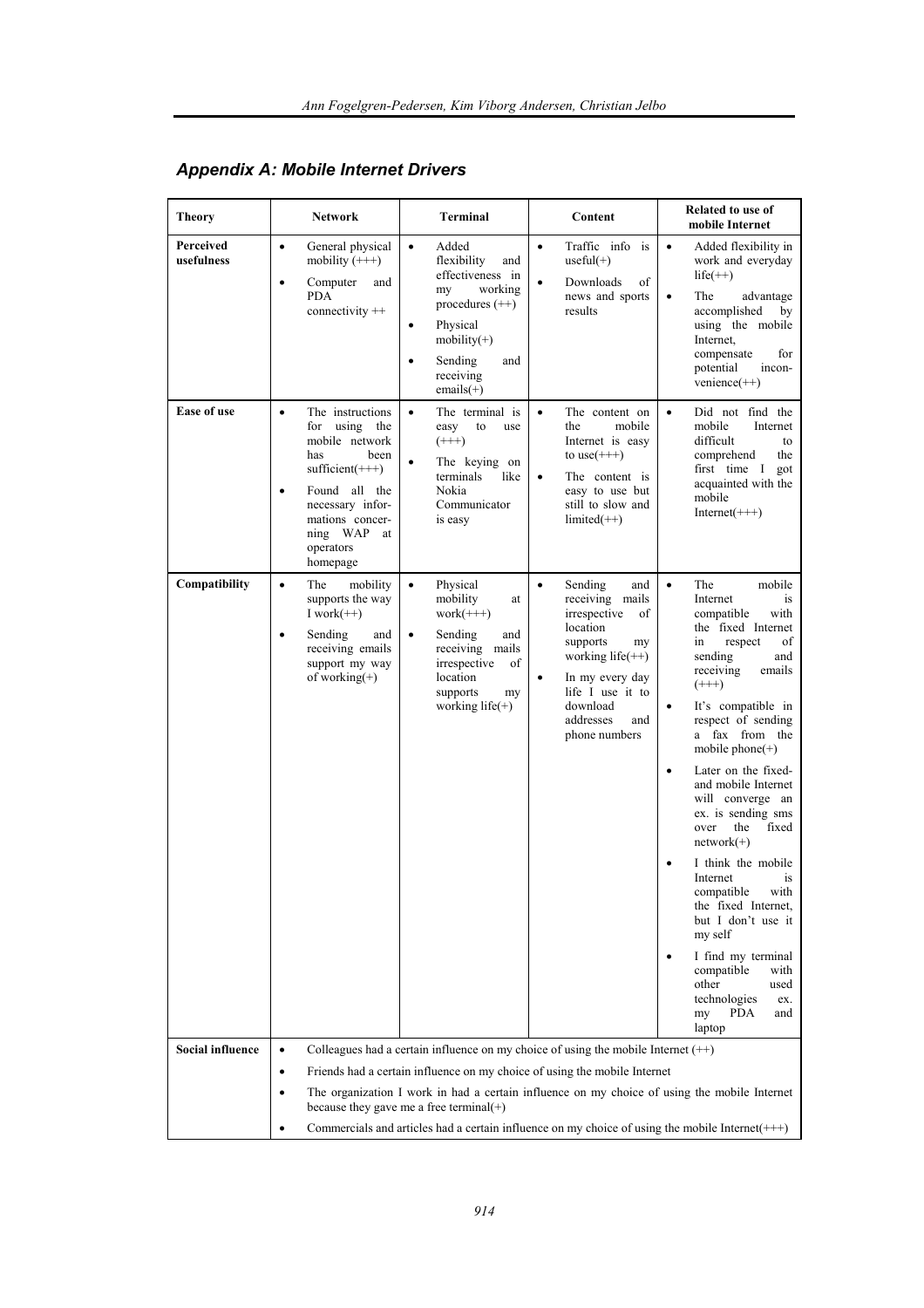| <b>Theory</b>           | <b>Network</b>                                                                                                                                                                                                          | Terminal                                                                                                                                                                                                    | Content                                                                                                                                                                                                                       | Related to use of<br>mobile Internet                                                                                                                                                                                                                                                                                                                                                                                                                                                                                                                                                                                                                                          |
|-------------------------|-------------------------------------------------------------------------------------------------------------------------------------------------------------------------------------------------------------------------|-------------------------------------------------------------------------------------------------------------------------------------------------------------------------------------------------------------|-------------------------------------------------------------------------------------------------------------------------------------------------------------------------------------------------------------------------------|-------------------------------------------------------------------------------------------------------------------------------------------------------------------------------------------------------------------------------------------------------------------------------------------------------------------------------------------------------------------------------------------------------------------------------------------------------------------------------------------------------------------------------------------------------------------------------------------------------------------------------------------------------------------------------|
| Perceived<br>usefulness | General physical<br>$\bullet$<br>mobility $(++)$<br>Computer<br>$\bullet$<br>and<br><b>PDA</b><br>connectivity ++                                                                                                       | $\bullet$<br>Added<br>flexibility<br>and<br>effectiveness in<br>working<br>my<br>procedures $(++)$<br>Physical<br>$\bullet$<br>$mobility(+)$<br>Sending<br>and<br>$\bullet$<br>receiving<br>$emails(+)$     | Traffic info is<br>$\bullet$<br>useful $(+)$<br>Downloads<br>of<br>news and sports<br>results                                                                                                                                 | $\bullet$<br>Added flexibility in<br>work and everyday<br>$life(++)$<br>The<br>advantage<br>$\bullet$<br>accomplished<br>by<br>using the mobile<br>Internet.<br>compensate<br>for<br>potential<br>incon-<br>$venience(++)$                                                                                                                                                                                                                                                                                                                                                                                                                                                    |
| <b>Ease of use</b>      | The instructions<br>$\bullet$<br>using the<br>for<br>mobile network<br>has<br>been<br>$sufficient(+++)$<br>Found all the<br>$\bullet$<br>necessary infor-<br>mations concer-<br>ning WAP<br>at<br>operators<br>homepage | The terminal is<br>$\bullet$<br>easy<br>to<br>use<br>$(++)$<br>The keying on<br>٠<br>terminals<br>like<br>Nokia<br>Communicator<br>is easy                                                                  | The content on<br>$\bullet$<br>the<br>mobile<br>Internet is easy<br>to $use(+++)$<br>The content is<br>$\bullet$<br>easy to use but<br>still to slow and<br>$limited(++)$                                                     | Did not find the<br>$\bullet$<br>mobile<br>Internet<br>difficult<br>to<br>comprehend<br>the<br>first time I<br>got<br>acquainted with the<br>mobile<br>$Internet(+++)$                                                                                                                                                                                                                                                                                                                                                                                                                                                                                                        |
| Compatibility           | $\bullet$<br>The<br>mobility<br>supports the way<br>I work $(++)$<br>Sending<br>and<br>$\bullet$<br>receiving emails<br>support my way<br>of working $(+)$                                                              | $\bullet$<br>Physical<br>mobility<br>at<br>$work$ (+++)<br>Sending<br>$\bullet$<br>and<br>receiving mails<br>irrespective<br>of<br>location<br>supports<br>my<br>working life(+)                            | Sending<br>$\bullet$<br>and<br>receiving mails<br>irrespective<br>of<br>location<br>supports<br>my<br>working $life(++)$<br>In my every day<br>$\bullet$<br>life I use it to<br>download<br>addresses<br>and<br>phone numbers | The<br>mobile<br>$\bullet$<br>Internet<br><i>is</i><br>compatible<br>with<br>the fixed Internet<br>respect<br>of<br>in<br>sending<br>and<br>receiving<br>emails<br>$(++)$<br>It's compatible in<br>$\bullet$<br>respect of sending<br>a fax from the<br>mobile phone $(+)$<br>Later on the fixed-<br>$\bullet$<br>and mobile Internet<br>will converge an<br>ex. is sending sms<br>the<br>fixed<br>over<br>$network(+)$<br>I think the mobile<br>$\bullet$<br>Internet<br>is<br>with<br>compatible<br>the fixed Internet,<br>but I don't use it<br>my self<br>I find my terminal<br>compatible<br>with<br>other<br>used<br>technologies<br>ex.<br>my<br>PDA.<br>and<br>laptop |
| <b>Social influence</b> | $\bullet$<br>$\bullet$                                                                                                                                                                                                  | Colleagues had a certain influence on my choice of using the mobile Internet $(++)$<br>Friends had a certain influence on my choice of using the mobile Internet<br>because they gave me a free terminal(+) |                                                                                                                                                                                                                               | The organization I work in had a certain influence on my choice of using the mobile Internet<br>Commercials and articles had a certain influence on my choice of using the mobile Internet(+++)                                                                                                                                                                                                                                                                                                                                                                                                                                                                               |

# *Appendix A: Mobile Internet Drivers*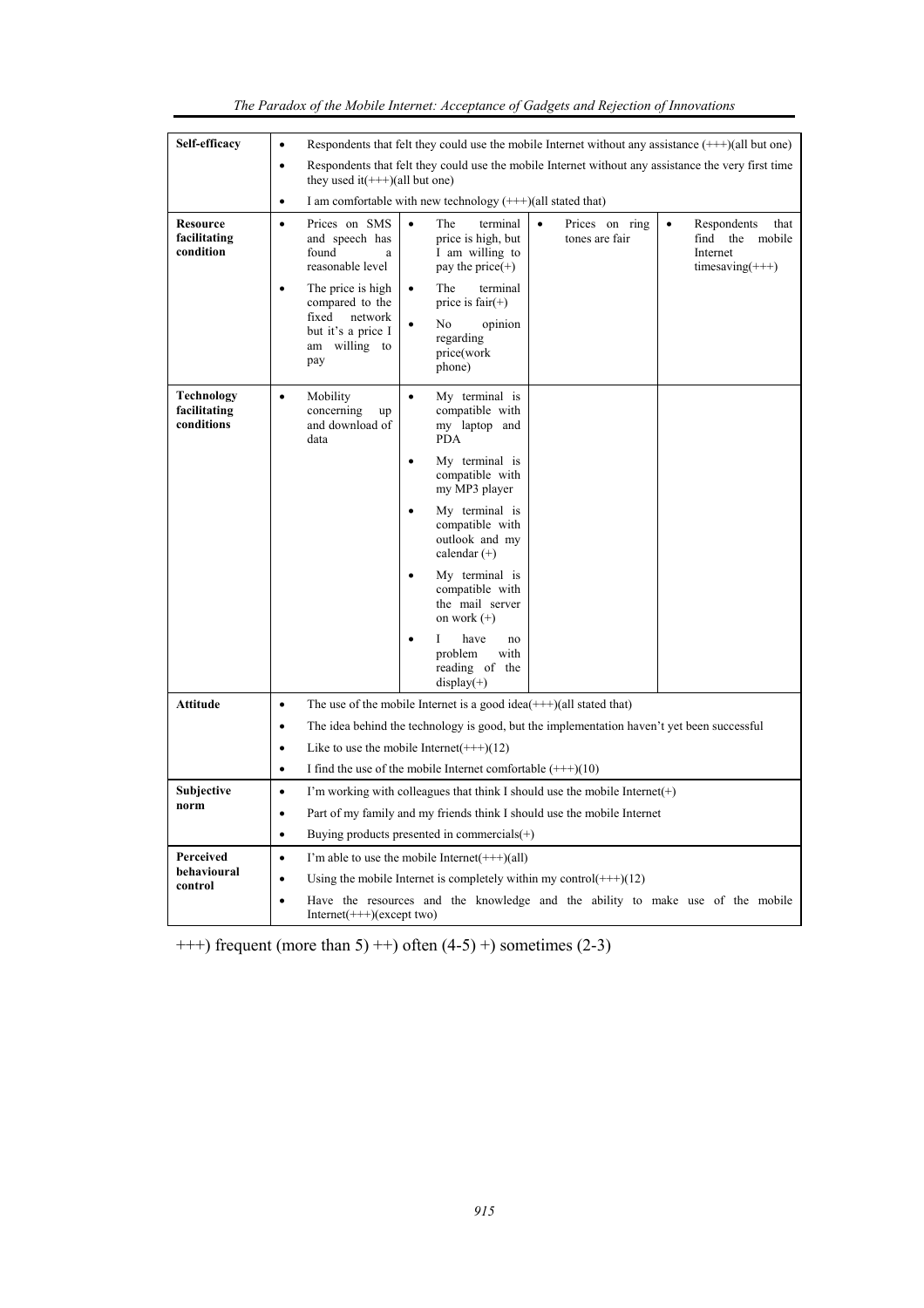| Respondents that felt they could use the mobile Internet without any assistance the very first time<br>$\bullet$<br>they used it $(+++)$ (all but one)<br>I am comfortable with new technology (+++)(all stated that)<br>٠<br>Prices on SMS<br>$\bullet$<br>Resource<br>$\bullet$<br>The<br>terminal<br>Prices on ring<br>Respondents<br>$\bullet$<br>facilitating<br>tones are fair<br>the<br>and speech has<br>price is high, but<br>find                                                                                           | that                                                                                       |  |  |  |  |
|---------------------------------------------------------------------------------------------------------------------------------------------------------------------------------------------------------------------------------------------------------------------------------------------------------------------------------------------------------------------------------------------------------------------------------------------------------------------------------------------------------------------------------------|--------------------------------------------------------------------------------------------|--|--|--|--|
|                                                                                                                                                                                                                                                                                                                                                                                                                                                                                                                                       |                                                                                            |  |  |  |  |
|                                                                                                                                                                                                                                                                                                                                                                                                                                                                                                                                       |                                                                                            |  |  |  |  |
| condition<br>found<br>I am willing to<br>Internet<br>a<br>reasonable level<br>pay the price $(+)$<br>$timesaving(+++)$<br>The<br>terminal<br>The price is high<br>compared to the<br>price is $fair(+)$<br>fixed<br>network<br>opinion<br>No<br>٠<br>but it's a price I<br>regarding<br>am willing to<br>price(work<br>pay<br>phone)                                                                                                                                                                                                  | mobile                                                                                     |  |  |  |  |
| Technology<br>Mobility<br>My terminal is<br>$\bullet$<br>$\bullet$<br>facilitating<br>compatible with<br>concerning<br>up<br>conditions<br>and download of<br>my laptop and<br>data<br><b>PDA</b><br>My terminal is<br>$\bullet$<br>compatible with<br>my MP3 player<br>My terminal is<br>$\bullet$<br>compatible with<br>outlook and my<br>calendar $(+)$<br>My terminal is<br>$\bullet$<br>compatible with<br>the mail server<br>on work $(+)$<br>Ι<br>have<br>no<br>$\bullet$<br>problem<br>with<br>reading of the<br>$display(+)$ |                                                                                            |  |  |  |  |
| Attitude<br>The use of the mobile Internet is a good idea $(++)(all$ stated that)<br>$\bullet$                                                                                                                                                                                                                                                                                                                                                                                                                                        |                                                                                            |  |  |  |  |
| $\bullet$                                                                                                                                                                                                                                                                                                                                                                                                                                                                                                                             | The idea behind the technology is good, but the implementation haven't yet been successful |  |  |  |  |
| Like to use the mobile Internet $(+++)(12)$<br>$\bullet$                                                                                                                                                                                                                                                                                                                                                                                                                                                                              |                                                                                            |  |  |  |  |
| I find the use of the mobile Internet comfortable $(++)(10)$<br>$\bullet$                                                                                                                                                                                                                                                                                                                                                                                                                                                             |                                                                                            |  |  |  |  |
| Subjective<br>I'm working with colleagues that think I should use the mobile Internet $(+)$<br>$\bullet$<br>norm                                                                                                                                                                                                                                                                                                                                                                                                                      |                                                                                            |  |  |  |  |
| Part of my family and my friends think I should use the mobile Internet<br>$\bullet$                                                                                                                                                                                                                                                                                                                                                                                                                                                  |                                                                                            |  |  |  |  |
| Buying products presented in commercials $(+)$<br>$\bullet$                                                                                                                                                                                                                                                                                                                                                                                                                                                                           |                                                                                            |  |  |  |  |
| Perceived<br>I'm able to use the mobile Internet $(++)(all)$<br>$\bullet$<br>behavioural                                                                                                                                                                                                                                                                                                                                                                                                                                              |                                                                                            |  |  |  |  |
| Using the mobile Internet is completely within my control $(+++)(12)$<br>$\bullet$<br>control<br>Have the resources and the knowledge and the ability to make use of the mobile<br>$Internet(++)$ (except two)                                                                                                                                                                                                                                                                                                                        |                                                                                            |  |  |  |  |

| The Paradox of the Mobile Internet: Acceptance of Gadgets and Rejection of Innovations |  |  |
|----------------------------------------------------------------------------------------|--|--|
|                                                                                        |  |  |

 $++$ ) frequent (more than 5)  $++$ ) often (4-5) +) sometimes (2-3)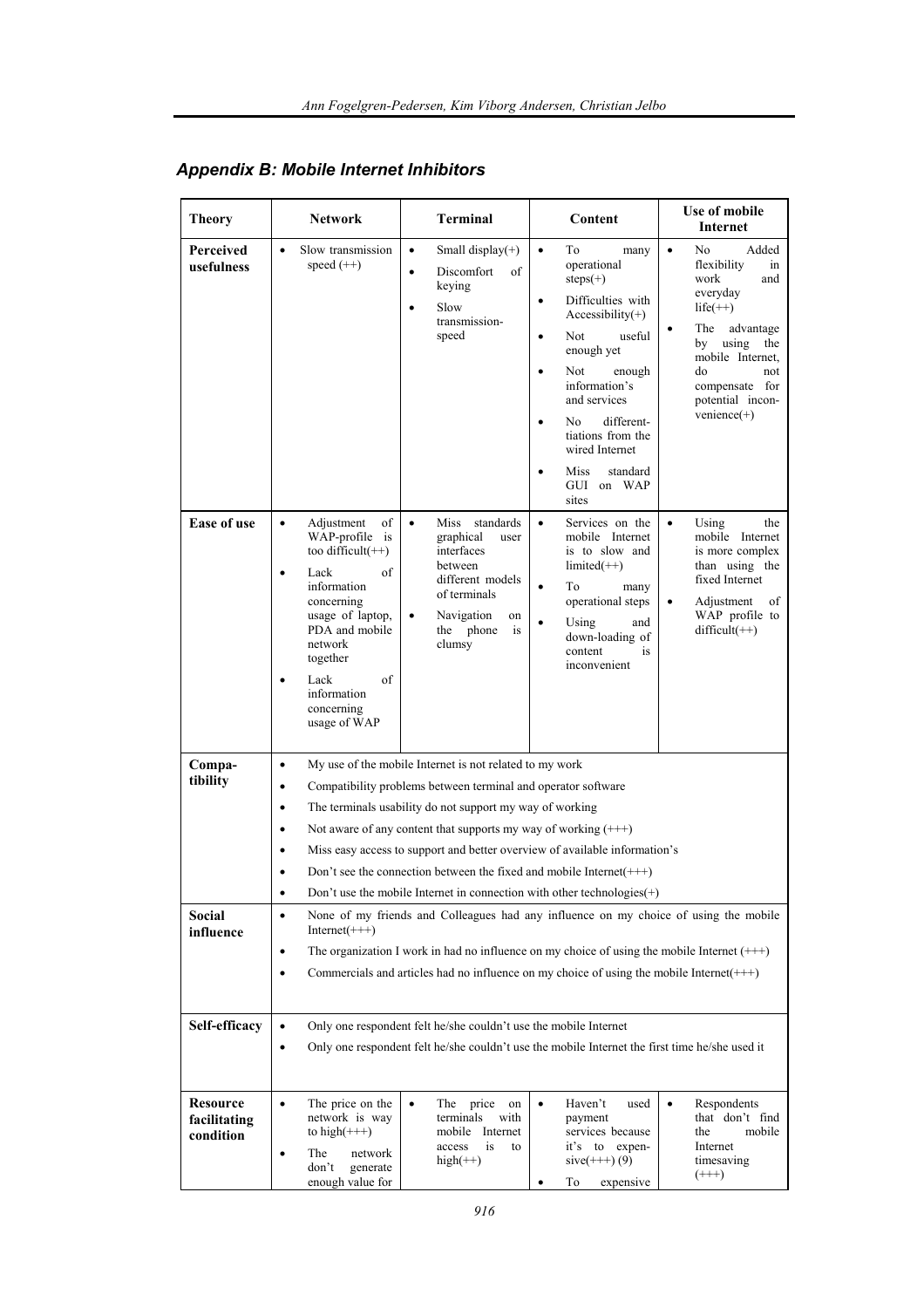| <b>Theory</b>                                              | <b>Network</b>                                                                                                                                                                                                                                                                                                                                                                                                                                                                                                                                                                                                                                                                                                                                                                                                                                                                                                                                    | <b>Terminal</b>                                                                                                                                                | Content                                                                                                                                                                                                                                                                                                                            | Use of mobile<br>Internet                                                                                                                                                                                          |  |
|------------------------------------------------------------|---------------------------------------------------------------------------------------------------------------------------------------------------------------------------------------------------------------------------------------------------------------------------------------------------------------------------------------------------------------------------------------------------------------------------------------------------------------------------------------------------------------------------------------------------------------------------------------------------------------------------------------------------------------------------------------------------------------------------------------------------------------------------------------------------------------------------------------------------------------------------------------------------------------------------------------------------|----------------------------------------------------------------------------------------------------------------------------------------------------------------|------------------------------------------------------------------------------------------------------------------------------------------------------------------------------------------------------------------------------------------------------------------------------------------------------------------------------------|--------------------------------------------------------------------------------------------------------------------------------------------------------------------------------------------------------------------|--|
| <b>Perceived</b><br>usefulness                             | Slow transmission<br>$\bullet$<br>speed $(++)$                                                                                                                                                                                                                                                                                                                                                                                                                                                                                                                                                                                                                                                                                                                                                                                                                                                                                                    | Small display $(+)$<br>$\bullet$<br>Discomfort<br>of<br>$\bullet$<br>keying<br>Slow<br>$\bullet$<br>transmission-<br>speed                                     | $\bullet$<br>To<br>many<br>operational<br>$steps(+)$<br>Difficulties with<br>$\bullet$<br>$Accessibility(+)$<br>Not<br>useful<br>$\bullet$<br>enough yet<br>Not<br>$\bullet$<br>enough<br>information's<br>and services<br>different-<br>No<br>tiations from the<br>wired Internet<br>Miss<br>standard<br>٠<br>GUI on WAP<br>sites | $\bullet$<br>No<br>Added<br>flexibility<br>in<br>work<br>and<br>everyday<br>$life(++)$<br>The advantage<br>by using<br>the<br>mobile Internet.<br>do<br>not<br>compensate for<br>potential incon-<br>$venience(+)$ |  |
| <b>Ease of use</b>                                         | Adjustment<br>of<br>٠<br>WAP-profile is<br>too difficult $(++)$<br>Lack<br>οf<br>$\bullet$<br>information<br>concerning<br>usage of laptop,<br>PDA and mobile<br>network<br>together<br>Lack<br>of<br>information<br>concerning<br>usage of WAP                                                                                                                                                                                                                                                                                                                                                                                                                                                                                                                                                                                                                                                                                                   | Miss standards<br>$\bullet$<br>graphical<br>user<br>interfaces<br>between<br>different models<br>of terminals<br>Navigation<br>on<br>the phone<br>is<br>clumsy | Services on the<br>$\bullet$<br>mobile Internet<br>is to slow and<br>$limited(++)$<br>To<br>$\bullet$<br>many<br>operational steps<br>$\bullet$<br>Using<br>and<br>down-loading of<br>content<br>is<br>inconvenient                                                                                                                | $\bullet$<br>Using<br>the<br>mobile Internet<br>is more complex<br>than using the<br>fixed Internet<br>Adjustment<br>$\bullet$<br>of<br>WAP profile to<br>$difficult(++)$                                          |  |
| Compa-<br>tibility<br>Social<br>influence<br>Self-efficacy | My use of the mobile Internet is not related to my work<br>$\bullet$<br>Compatibility problems between terminal and operator software<br>٠<br>The terminals usability do not support my way of working<br>٠<br>Not aware of any content that supports my way of working $(++)$<br>٠<br>Miss easy access to support and better overview of available information's<br>$\bullet$<br>Don't see the connection between the fixed and mobile Internet( $\leftarrow$ ++)<br>Don't use the mobile Internet in connection with other technologies(+)<br>None of my friends and Colleagues had any influence on my choice of using the mobile<br>$\bullet$<br>$Internet(+++)$<br>The organization I work in had no influence on my choice of using the mobile Internet $(++)$<br>٠<br>Commercials and articles had no influence on my choice of using the mobile Internet( $++$ )<br>٠<br>Only one respondent felt he/she couldn't use the mobile Internet |                                                                                                                                                                |                                                                                                                                                                                                                                                                                                                                    |                                                                                                                                                                                                                    |  |
|                                                            | $\bullet$<br>$\bullet$                                                                                                                                                                                                                                                                                                                                                                                                                                                                                                                                                                                                                                                                                                                                                                                                                                                                                                                            |                                                                                                                                                                | Only one respondent felt he/she couldn't use the mobile Internet the first time he/she used it                                                                                                                                                                                                                                     |                                                                                                                                                                                                                    |  |
| <b>Resource</b><br>facilitating<br>condition               | The price on the<br>٠<br>network is way<br>to high $(++)$<br>The<br>network<br>٠<br>don't<br>generate<br>enough value for                                                                                                                                                                                                                                                                                                                                                                                                                                                                                                                                                                                                                                                                                                                                                                                                                         | $\bullet$<br>The<br>price<br>on<br>terminals<br>with<br>mobile Internet<br>is<br>access<br>to<br>$high(++)$                                                    | Haven't<br>$\bullet$<br>used<br>payment<br>services because<br>expen-<br>it's to<br>$sive(+++) (9)$<br>expensive<br>To<br>$\bullet$                                                                                                                                                                                                | Respondents<br>$\bullet$<br>that don't find<br>mobile<br>the<br>Internet<br>timesaving<br>$(++)$                                                                                                                   |  |

# *Appendix B: Mobile Internet Inhibitors*